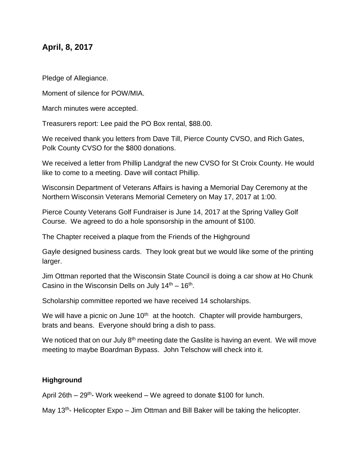## **April, 8, 2017**

Pledge of Allegiance.

Moment of silence for POW/MIA.

March minutes were accepted.

Treasurers report: Lee paid the PO Box rental, \$88.00.

We received thank you letters from Dave Till, Pierce County CVSO, and Rich Gates, Polk County CVSO for the \$800 donations.

We received a letter from Phillip Landgraf the new CVSO for St Croix County. He would like to come to a meeting. Dave will contact Phillip.

Wisconsin Department of Veterans Affairs is having a Memorial Day Ceremony at the Northern Wisconsin Veterans Memorial Cemetery on May 17, 2017 at 1:00.

Pierce County Veterans Golf Fundraiser is June 14, 2017 at the Spring Valley Golf Course. We agreed to do a hole sponsorship in the amount of \$100.

The Chapter received a plaque from the Friends of the Highground

Gayle designed business cards. They look great but we would like some of the printing larger.

Jim Ottman reported that the Wisconsin State Council is doing a car show at Ho Chunk Casino in the Wisconsin Dells on July  $14<sup>th</sup> - 16<sup>th</sup>$ .

Scholarship committee reported we have received 14 scholarships.

We will have a picnic on June  $10<sup>th</sup>$  at the hootch. Chapter will provide hamburgers, brats and beans. Everyone should bring a dish to pass.

We noticed that on our July  $8<sup>th</sup>$  meeting date the Gaslite is having an event. We will move meeting to maybe Boardman Bypass. John Telschow will check into it.

## **Highground**

April 26th  $-29^{th}$ - Work weekend  $-$  We agreed to donate \$100 for lunch.

May 13<sup>th</sup>- Helicopter Expo – Jim Ottman and Bill Baker will be taking the helicopter.